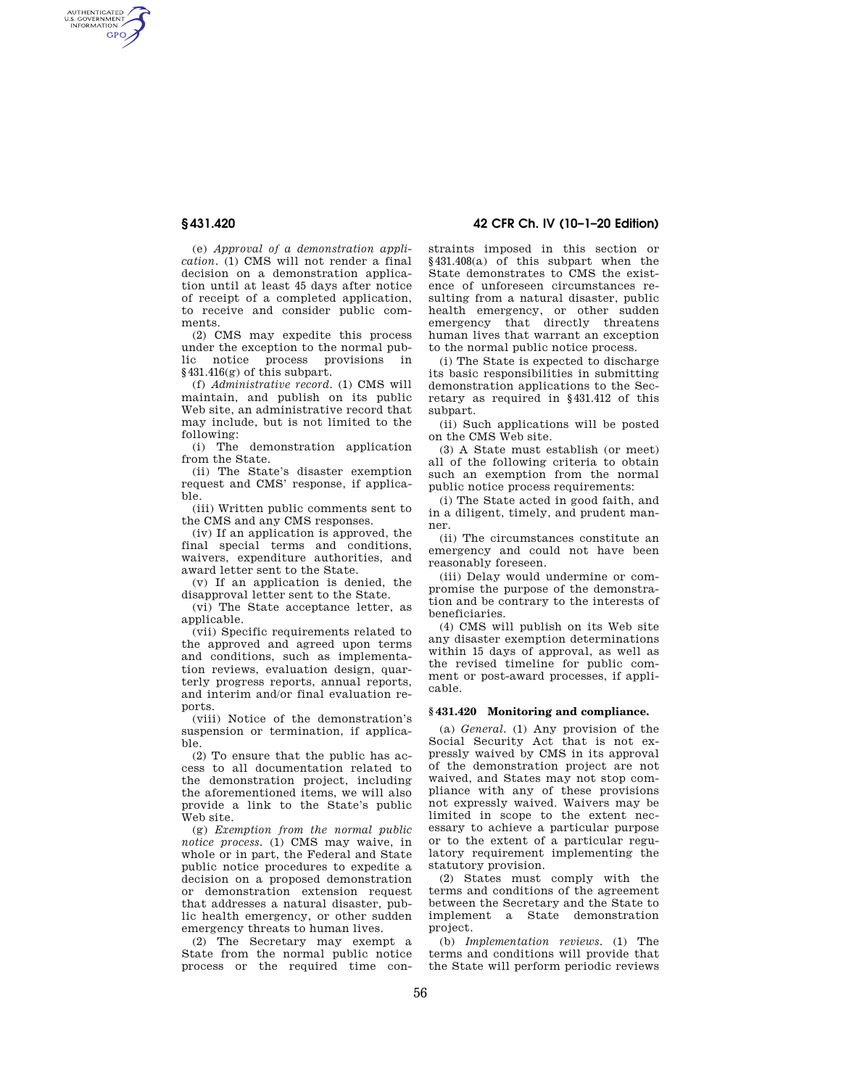AUTHENTICATED<br>U.S. GOVERNMENT<br>INFORMATION **GPO** 

> (e) *Approval of a demonstration application.* (1) CMS will not render a final decision on a demonstration application until at least 45 days after notice of receipt of a completed application, to receive and consider public comments.

(2) CMS may expedite this process under the exception to the normal public notice process provisions in §431.416(g) of this subpart.

(f) *Administrative record.* (1) CMS will maintain, and publish on its public Web site, an administrative record that may include, but is not limited to the following:

(i) The demonstration application from the State.

(ii) The State's disaster exemption request and CMS' response, if applicable.

(iii) Written public comments sent to the CMS and any CMS responses.

(iv) If an application is approved, the final special terms and conditions, waivers, expenditure authorities, and award letter sent to the State.

(v) If an application is denied, the disapproval letter sent to the State.

(vi) The State acceptance letter, as applicable.

(vii) Specific requirements related to the approved and agreed upon terms and conditions, such as implementation reviews, evaluation design, quarterly progress reports, annual reports, and interim and/or final evaluation reports.

(viii) Notice of the demonstration's suspension or termination, if applicable.

(2) To ensure that the public has access to all documentation related to the demonstration project, including the aforementioned items, we will also provide a link to the State's public Web site.

(g) *Exemption from the normal public notice process.* (1) CMS may waive, in whole or in part, the Federal and State public notice procedures to expedite a decision on a proposed demonstration or demonstration extension request that addresses a natural disaster, public health emergency, or other sudden emergency threats to human lives.

(2) The Secretary may exempt a State from the normal public notice process or the required time con-

# **§ 431.420 42 CFR Ch. IV (10–1–20 Edition)**

straints imposed in this section or §431.408(a) of this subpart when the State demonstrates to CMS the existence of unforeseen circumstances resulting from a natural disaster, public health emergency, or other sudden emergency that directly threatens human lives that warrant an exception to the normal public notice process.

(i) The State is expected to discharge its basic responsibilities in submitting demonstration applications to the Secretary as required in §431.412 of this subpart.

(ii) Such applications will be posted on the CMS Web site.

(3) A State must establish (or meet) all of the following criteria to obtain such an exemption from the normal public notice process requirements:

(i) The State acted in good faith, and in a diligent, timely, and prudent manner.

(ii) The circumstances constitute an emergency and could not have been reasonably foreseen.

(iii) Delay would undermine or compromise the purpose of the demonstration and be contrary to the interests of beneficiaries.

(4) CMS will publish on its Web site any disaster exemption determinations within 15 days of approval, as well as the revised timeline for public comment or post-award processes, if applicable.

#### **§ 431.420 Monitoring and compliance.**

(a) *General.* (1) Any provision of the Social Security Act that is not expressly waived by CMS in its approval of the demonstration project are not waived, and States may not stop compliance with any of these provisions not expressly waived. Waivers may be limited in scope to the extent necessary to achieve a particular purpose or to the extent of a particular regulatory requirement implementing the statutory provision.

(2) States must comply with the terms and conditions of the agreement between the Secretary and the State to implement a State demonstration project.

(b) *Implementation reviews.* (1) The terms and conditions will provide that the State will perform periodic reviews